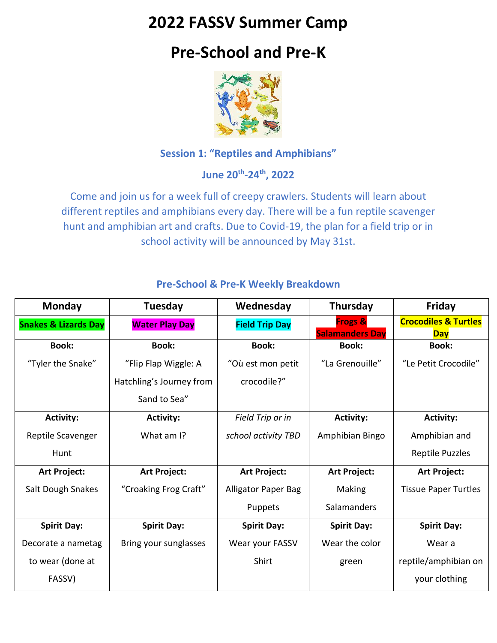## **2022 FASSV Summer Camp**

# **Pre-School and Pre-K**



### **Session 1: "Reptiles and Amphibians"**

**June 20th -24th, 2022**

Come and join us for a week full of creepy crawlers. Students will learn about different reptiles and amphibians every day. There will be a fun reptile scavenger hunt and amphibian art and crafts. Due to Covid-19, the plan for a field trip or in school activity will be announced by May 31st.

| <b>Monday</b>                   | Tuesday                  | Wednesday                  | Thursday                                     | Friday                                        |
|---------------------------------|--------------------------|----------------------------|----------------------------------------------|-----------------------------------------------|
| <b>Snakes &amp; Lizards Day</b> | <b>Water Play Day</b>    | <b>Field Trip Day</b>      | <b>Frogs &amp;</b><br><b>Salamanders Day</b> | <b>Crocodiles &amp; Turtles</b><br><b>Day</b> |
| <b>Book:</b>                    | <b>Book:</b>             | <b>Book:</b>               | <b>Book:</b>                                 | <b>Book:</b>                                  |
| "Tyler the Snake"               | "Flip Flap Wiggle: A     | "Où est mon petit          | "La Grenouille"                              | "Le Petit Crocodile"                          |
|                                 | Hatchling's Journey from | crocodile?"                |                                              |                                               |
|                                 | Sand to Sea"             |                            |                                              |                                               |
| <b>Activity:</b>                | <b>Activity:</b>         | Field Trip or in           | <b>Activity:</b>                             | <b>Activity:</b>                              |
| Reptile Scavenger               | What am I?               | school activity TBD        | Amphibian Bingo                              | Amphibian and                                 |
| Hunt                            |                          |                            |                                              | <b>Reptile Puzzles</b>                        |
| <b>Art Project:</b>             | Art Project:             | Art Project:               | <b>Art Project:</b>                          | <b>Art Project:</b>                           |
| Salt Dough Snakes               | "Croaking Frog Craft"    | <b>Alligator Paper Bag</b> | <b>Making</b>                                | <b>Tissue Paper Turtles</b>                   |
|                                 |                          | Puppets                    | Salamanders                                  |                                               |
| <b>Spirit Day:</b>              | <b>Spirit Day:</b>       | <b>Spirit Day:</b>         | <b>Spirit Day:</b>                           | <b>Spirit Day:</b>                            |
| Decorate a nametag              | Bring your sunglasses    | Wear your FASSV            | Wear the color                               | Wear a                                        |
| to wear (done at                |                          | Shirt                      | green                                        | reptile/amphibian on                          |
| FASSV)                          |                          |                            |                                              | your clothing                                 |

#### **Pre-School & Pre-K Weekly Breakdown**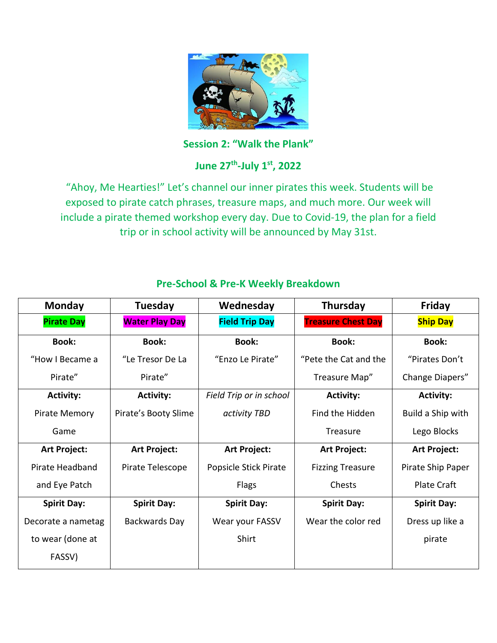

**Session 2: "Walk the Plank"**

**June 27th -July 1st , 2022**

"Ahoy, Me Hearties!" Let's channel our inner pirates this week. Students will be exposed to pirate catch phrases, treasure maps, and much more. Our week will include a pirate themed workshop every day. Due to Covid-19, the plan for a field trip or in school activity will be announced by May 31st.

| <b>Monday</b>        | Tuesday               | Wednesday               | Thursday                  | Friday             |
|----------------------|-----------------------|-------------------------|---------------------------|--------------------|
| <b>Pirate Day</b>    | <b>Water Play Day</b> | <b>Field Trip Day</b>   | <b>Treasure Chest Day</b> | <b>Ship Day</b>    |
| <b>Book:</b>         | <b>Book:</b>          | <b>Book:</b>            | <b>Book:</b>              | <b>Book:</b>       |
| "How I Became a      | "Le Tresor De La      | "Enzo Le Pirate"        | "Pete the Cat and the     | "Pirates Don't     |
| Pirate"              | Pirate"               |                         | Treasure Map"             | Change Diapers"    |
| <b>Activity:</b>     | <b>Activity:</b>      | Field Trip or in school | <b>Activity:</b>          | <b>Activity:</b>   |
| <b>Pirate Memory</b> | Pirate's Booty Slime  | activity TBD            | Find the Hidden           | Build a Ship with  |
| Game                 |                       |                         | Treasure                  | Lego Blocks        |
| <b>Art Project:</b>  | <b>Art Project:</b>   | <b>Art Project:</b>     | <b>Art Project:</b>       | Art Project:       |
| Pirate Headband      | Pirate Telescope      | Popsicle Stick Pirate   | <b>Fizzing Treasure</b>   | Pirate Ship Paper  |
| and Eye Patch        |                       | Flags                   | Chests                    | <b>Plate Craft</b> |
| <b>Spirit Day:</b>   | <b>Spirit Day:</b>    | <b>Spirit Day:</b>      | <b>Spirit Day:</b>        | <b>Spirit Day:</b> |
| Decorate a nametag   | Backwards Day         | Wear your FASSV         | Wear the color red        | Dress up like a    |
| to wear (done at     |                       | Shirt                   |                           | pirate             |
| FASSV)               |                       |                         |                           |                    |

#### **Pre-School & Pre-K Weekly Breakdown**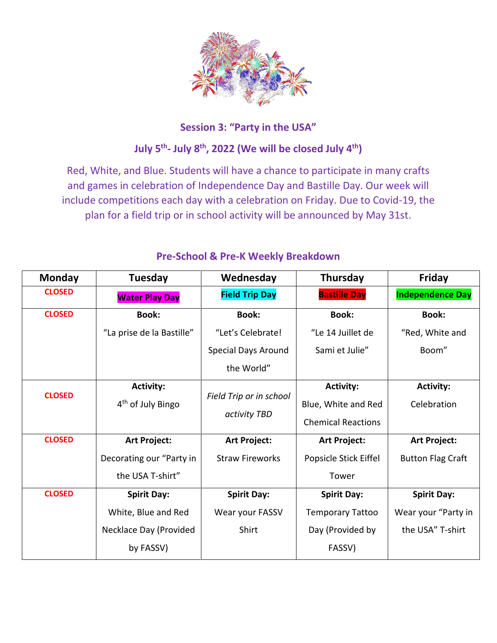

#### **Session 3: "Party in the USA"**

## **July 5th - July 8th, 2022 (We will be closed July 4th)**

Red, White, and Blue. Students will have a chance to participate in many crafts and games in celebration of Independence Day and Bastille Day. Our week will include competitions each day with a celebration on Friday. Due to Covid-19, the plan for a field trip or in school activity will be announced by May 31st.

| <b>Monday</b> | Tuesday                       | Wednesday               | Thursday                  | Friday                   |
|---------------|-------------------------------|-------------------------|---------------------------|--------------------------|
| <b>CLOSED</b> | <b>Water Play Day</b>         | <b>Field Trip Day</b>   | <b>Bastille Day</b>       | <b>Independence Day</b>  |
| <b>CLOSED</b> | <b>Book:</b>                  | <b>Book:</b>            | <b>Book:</b>              | <b>Book:</b>             |
|               | "La prise de la Bastille"     | "Let's Celebrate!       | "Le 14 Juillet de         | "Red, White and          |
|               |                               | Special Days Around     | Sami et Julie"            | Boom"                    |
|               |                               | the World"              |                           |                          |
| <b>CLOSED</b> | <b>Activity:</b>              |                         | <b>Activity:</b>          | <b>Activity:</b>         |
|               | 4 <sup>th</sup> of July Bingo | Field Trip or in school | Blue, White and Red       | Celebration              |
|               |                               | activity TBD            | <b>Chemical Reactions</b> |                          |
| <b>CLOSED</b> | <b>Art Project:</b>           | <b>Art Project:</b>     | Art Project:              | <b>Art Project:</b>      |
|               | Decorating our "Party in      | <b>Straw Fireworks</b>  | Popsicle Stick Eiffel     | <b>Button Flag Craft</b> |
|               | the USA T-shirt"              |                         | Tower                     |                          |
| <b>CLOSED</b> | <b>Spirit Day:</b>            | <b>Spirit Day:</b>      | <b>Spirit Day:</b>        | <b>Spirit Day:</b>       |
|               | White, Blue and Red           | Wear your FASSV         | <b>Temporary Tattoo</b>   | Wear your "Party in      |
|               | Necklace Day (Provided        | Shirt                   | Day (Provided by          | the USA" T-shirt         |
|               | by FASSV)                     |                         | FASSV)                    |                          |

#### **Pre-School & Pre-K Weekly Breakdown**